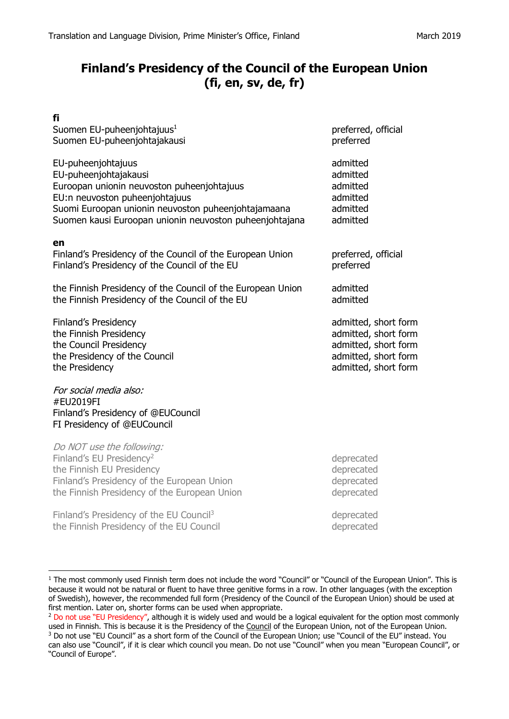## **Finland's Presidency of the Council of the European Union (fi, en, sv, de, fr)**

| fi                                                          |                      |
|-------------------------------------------------------------|----------------------|
| Suomen EU-puheenjohtajuus <sup>1</sup>                      | preferred, official  |
| Suomen EU-puheenjohtajakausi                                | preferred            |
| EU-puheenjohtajuus                                          | admitted             |
| EU-puheenjohtajakausi                                       | admitted             |
| Euroopan unionin neuvoston puheenjohtajuus                  | admitted             |
| EU:n neuvoston puheenjohtajuus                              | admitted             |
| Suomi Euroopan unionin neuvoston puheenjohtajamaana         | admitted             |
| Suomen kausi Euroopan unionin neuvoston puheenjohtajana     | admitted             |
| en                                                          |                      |
| Finland's Presidency of the Council of the European Union   | preferred, official  |
| Finland's Presidency of the Council of the EU               | preferred            |
|                                                             |                      |
| the Finnish Presidency of the Council of the European Union | admitted             |
| the Finnish Presidency of the Council of the EU             | admitted             |
| Finland's Presidency                                        | admitted, short form |
| the Finnish Presidency                                      | admitted, short form |
| the Council Presidency                                      | admitted, short form |
| the Presidency of the Council                               | admitted, short form |
| the Presidency                                              | admitted, short form |
| For social media also:                                      |                      |
| #EU2019FI                                                   |                      |
| Finland's Presidency of @EUCouncil                          |                      |

FI Presidency of @EUCouncil

 $\overline{a}$ 

Do NOT use the following: Finland's EU Presidency<sup>2</sup> deprecated the Finnish EU Presidency deprecated Finland's Presidency of the European Union and the metal of the deprecated the Finnish Presidency of the European Union **deprecated** 

Finland's Presidency of the EU Council<sup>3</sup>  $\qquad \qquad$  deprecated the Finnish Presidency of the EU Council and the example of the state of the EU Council deprecated

 $1$  The most commonly used Finnish term does not include the word "Council" or "Council of the European Union". This is because it would not be natural or fluent to have three genitive forms in a row. In other languages (with the exception of Swedish), however, the recommended full form (Presidency of the Council of the European Union) should be used at first mention. Later on, shorter forms can be used when appropriate.

<sup>&</sup>lt;sup>2</sup> Do not use "EU Presidency", although it is widely used and would be a logical equivalent for the option most commonly used in Finnish. This is because it is the Presidency of the Council of the European Union, not of the European Union.

<sup>3</sup> Do not use "EU Council" as a short form of the Council of the European Union; use "Council of the EU" instead. You can also use "Council", if it is clear which council you mean. Do not use "Council" when you mean "European Council", or "Council of Europe".